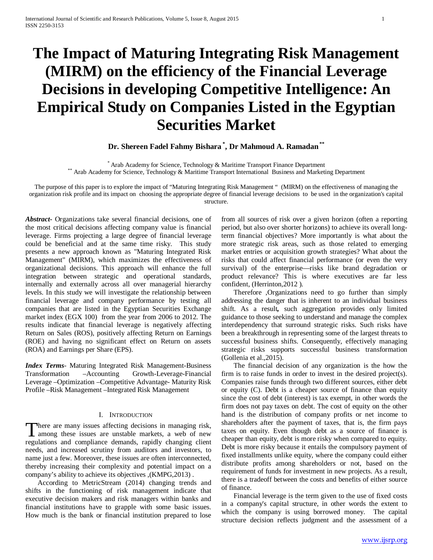# **The Impact of Maturing Integrating Risk Management (MIRM) on the efficiency of the Financial Leverage Decisions in developing Competitive Intelligence: An Empirical Study on Companies Listed in the Egyptian Securities Market**

# **Dr. Shereen Fadel Fahmy Bishara \* , Dr Mahmoud A. Ramadan\*\***

\* Arab Academy for Science, Technology & Maritime Transport Finance Department<br>\* Arab Academy for Science, Technology & Maritime Transport International Business and Marketing Department

The purpose of this paper is to explore the impact of "Maturing Integrating Risk Management " (MIRM) on the effectiveness of managing the organization risk profile and its impact on choosing the appropriate degree of financial leverage decisions to be used in the organization's capital structure.

*Abstract***-** Organizations take several financial decisions, one of the most critical decisions affecting company value is financial leverage. Firms projecting a large degree of financial leverage could be beneficial and at the same time risky. This study presents a new approach known as "Maturing Integrated Risk Management" (MIRM), which maximizes the effectiveness of organizational decisions. This approach will enhance the full integration between strategic and operational standards, internally and externally across all over managerial hierarchy levels. In this study we will investigate the relationship between financial leverage and company performance by testing all companies that are listed in the Egyptian Securities Exchange market index (EGX 100) from the year from 2006 to 2012. The results indicate that financial leverage is negatively affecting Return on Sales (ROS), positively affecting Return on Earnings (ROE) and having no significant effect on Return on assets (ROA) and Earnings per Share (EPS).

*Index Terms*- Maturing Integrated Risk Management-Business Transformation –Accounting Growth-Leverage-Financial Leverage –Optimization –Competitive Advantage- Maturity Risk Profile –Risk Management –Integrated Risk Management

# I. INTRODUCTION

here are many issues affecting decisions in managing risk, There are many issues affecting decisions in managing risk,<br>among these issues are unstable markets, a web of new regulations and compliance demands, rapidly changing client needs, and increased scrutiny from auditors and investors, to name just a few. Moreover, these issues are often interconnected, thereby increasing their complexity and potential impact on a company's ability to achieve its objectives ,(KMPG,2013) .

 According to MetricStream (2014) changing trends and shifts in the functioning of risk management indicate that executive decision makers and risk managers within banks and financial institutions have to grapple with some basic issues. How much is the bank or financial institution prepared to lose from all sources of risk over a given horizon (often a reporting period, but also over shorter horizons) to achieve its overall longterm financial objectives? More importantly is what about the more strategic risk areas, such as those related to emerging market entries or acquisition growth strategies? What about the risks that could affect financial performance (or even the very survival) of the enterprise—risks like brand degradation or product relevance? This is where executives are far less confident, (Herrinton,2012 ).

 Therefore ,Organizations need to go further than simply addressing the danger that is inherent to an individual business shift. As a result*,* such aggregation provides only limited guidance to those seeking to understand and manage the complex interdependency that surround strategic risks. Such risks have been a breakthrough in representing some of the largest threats to successful business shifts. Consequently, effectively managing strategic risks supports successful business transformation (Gollenia et al.,2015).

 The financial decision of any organization is the how the firm is to raise funds in order to invest in the desired project(s). Companies raise funds through two different sources, either debt or equity (C). Debt is a cheaper source of finance than equity since the cost of debt (interest) is tax exempt, in other words the firm does not pay taxes on debt. The cost of equity on the other hand is the distribution of company profits or net income to shareholders after the payment of taxes, that is, the firm pays taxes on equity. Even though debt as a source of finance is cheaper than equity, debt is more risky when compared to equity. Debt is more risky because it entails the compulsory payment of fixed installments unlike equity, where the company could either distribute profits among shareholders or not, based on the requirement of funds for investment in new projects. As a result, there is a tradeoff between the costs and benefits of either source of finance.

 Financial leverage is the term given to the use of fixed costs in a company's capital structure, in other words the extent to which the company is using borrowed money. The capital structure decision reflects judgment and the assessment of a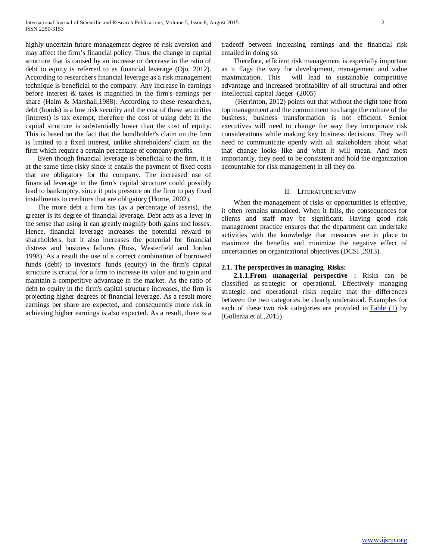highly uncertain future management degree of risk aversion and may affect the firm's financial policy. Thus, the change in capital structure that is caused by an increase or decrease in the ratio of debt to equity is referred to as financial leverage (Ojo, 2012). According to researchers financial leverage as a risk management technique is beneficial to the company. Any increase in earnings before interest & taxes is magnified in the firm's earnings per share (Haim & Marshall,1988). According to these researchers, debt (bonds) is a low risk security and the cost of these securities (interest) is tax exempt, therefore the cost of using debt in the capital structure is substantially lower than the cost of equity. This is based on the fact that the bondholder's claim on the firm is limited to a fixed interest, unlike shareholders' claim on the firm which require a certain percentage of company profits.

 Even though financial leverage is beneficial to the firm, it is at the same time risky since it entails the payment of fixed costs that are obligatory for the company. The increased use of financial leverage in the firm's capital structure could possibly lead to bankruptcy, since it puts pressure on the firm to pay fixed installments to creditors that are obligatory (Horne, 2002).

 The more debt a firm has (as a percentage of assets), the greater is its degree of financial leverage. Debt acts as a lever in the sense that using it can greatly magnify both gains and losses. Hence, financial leverage increases the potential reward to shareholders, but it also increases the potential for financial distress and business failures (Ross, Westerfield and Jordan 1998). As a result the use of a correct combination of borrowed funds (debt) to investors' funds (equity) in the firm's capital structure is crucial for a firm to increase its value and to gain and maintain a competitive advantage in the market. As the ratio of debt to equity in the firm's capital structure increases, the firm is projecting higher degrees of financial leverage. As a result more earnings per share are expected, and consequently more risk in achieving higher earnings is also expected. As a result, there is a tradeoff between increasing earnings and the financial risk entailed in doing so.

 Therefore, efficient risk management is especially important as it flags the way for development, management and value maximization. This will lead to sustainable competitive advantage and increased profitability of all structural and other intellectual capital Jaeger (2005)

 (Herrinton, 2012) points out that without the right tone from top management and the commitment to change the culture of the business, business transformation is not efficient. Senior executives will need to change the way they incorporate risk considerations while making key business decisions. They will need to communicate openly with all stakeholders about what that change looks like and what it will mean. And most importantly, they need to be consistent and hold the organization accountable for risk management in all they do.

# II. LITERATURE REVIEW

 When the management of risks or opportunities is effective, it often remains unnoticed. When it fails, the consequences for clients and staff may be significant. Having good risk management practice ensures that the department can undertake activities with the knowledge that measures are in place to maximize the benefits and minimize the negative effect of uncertainties on organizational objectives (DCSI ,2013).

# **2.1. The perspectives in managing Risks:**

 **2.1.1.From managerial perspective :** Risks can be classified as strategic or operational. Effectively managing strategic and operational risks require that the differences between the two categories be clearly understood. Examples for each of these two risk categories are provided in **Table** (1) by (Gollenia et al.,2015)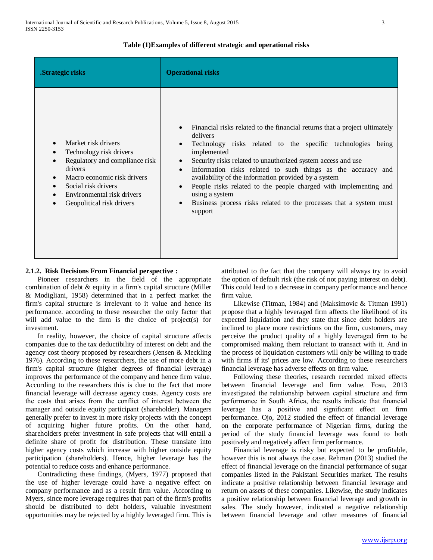# **Table (1)Examples of different strategic and operational risks**

| .Strategic risks                                                                                                                                                                                             | <b>Operational risks</b>                                                                                                                                                                                                                                                                                                                                                                                                                                                                                                                                                   |
|--------------------------------------------------------------------------------------------------------------------------------------------------------------------------------------------------------------|----------------------------------------------------------------------------------------------------------------------------------------------------------------------------------------------------------------------------------------------------------------------------------------------------------------------------------------------------------------------------------------------------------------------------------------------------------------------------------------------------------------------------------------------------------------------------|
| Market risk drivers<br>Technology risk drivers<br>Regulatory and compliance risk<br>drivers<br>Macro economic risk drivers<br>Social risk drivers<br>Environmental risk drivers<br>Geopolitical risk drivers | Financial risks related to the financial returns that a project ultimately<br>delivers<br>Technology risks related to the specific technologies being<br>implemented<br>Security risks related to unauthorized system access and use<br>$\bullet$<br>Information risks related to such things as the accuracy and<br>$\bullet$<br>availability of the information provided by a system<br>People risks related to the people charged with implementing and<br>$\bullet$<br>using a system<br>Business process risks related to the processes that a system must<br>support |

# **2.1.2. Risk Decisions From Financial perspective :**

 Pioneer researchers in the field of the appropriate combination of debt & equity in a firm's capital structure (Miller & Modigliani, 1958) determined that in a perfect market the firm's capital structure is irrelevant to it value and hence its performance. according to these researcher the only factor that will add value to the firm is the choice of project(s) for investment.

 In reality, however, the choice of capital structure affects companies due to the tax deductibility of interest on debt and the agency cost theory proposed by researchers (Jensen & Meckling 1976). According to these researchers, the use of more debt in a firm's capital structure (higher degrees of financial leverage) improves the performance of the company and hence firm value. According to the researchers this is due to the fact that more financial leverage will decrease agency costs. Agency costs are the costs that arises from the conflict of interest between the manager and outside equity participant (shareholder). Managers generally prefer to invest in more risky projects with the concept of acquiring higher future profits. On the other hand, shareholders prefer investment in safe projects that will entail a definite share of profit for distribution. These translate into higher agency costs which increase with higher outside equity participation (shareholders). Hence, higher leverage has the potential to reduce costs and enhance performance.

 Contradicting these findings, (Myers, 1977) proposed that the use of higher leverage could have a negative effect on company performance and as a result firm value. According to Myers, since more leverage requires that part of the firm's profits should be distributed to debt holders, valuable investment opportunities may be rejected by a highly leveraged firm. This is attributed to the fact that the company will always try to avoid the option of default risk (the risk of not paying interest on debt). This could lead to a decrease in company performance and hence firm value.

 Likewise (Titman, 1984) and (Maksimovic & Titman 1991) propose that a highly leveraged firm affects the likelihood of its expected liquidation and they state that since debt holders are inclined to place more restrictions on the firm, customers, may perceive the product quality of a highly leveraged firm to be compromised making them reluctant to transact with it. And in the process of liquidation customers will only be willing to trade with firms if its' prices are low. According to these researchers financial leverage has adverse effects on firm value.

 Following these theories, research recorded mixed effects between financial leverage and firm value. Fosu, 2013 investigated the relationship between capital structure and firm performance in South Africa, the results indicate that financial leverage has a positive and significant effect on firm performance. Ojo, 2012 studied the effect of financial leverage on the corporate performance of Nigerian firms, during the period of the study financial leverage was found to both positively and negatively affect firm performance.

 Financial leverage is risky but expected to be profitable, however this is not always the case. Rehman (2013) studied the effect of financial leverage on the financial performance of sugar companies listed in the Pakistani Securities market. The results indicate a positive relationship between financial leverage and return on assets of these companies. Likewise, the study indicates a positive relationship between financial leverage and growth in sales. The study however, indicated a negative relationship between financial leverage and other measures of financial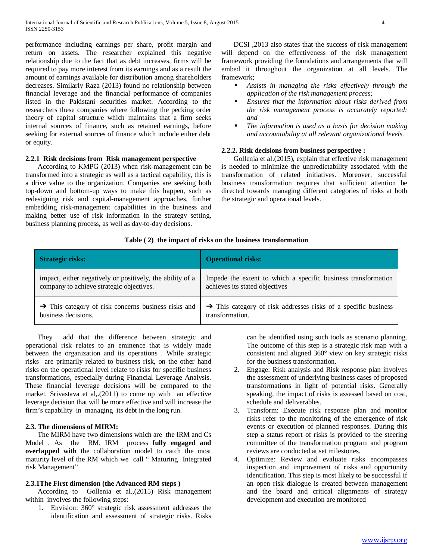performance including earnings per share, profit margin and return on assets. The researcher explained this negative relationship due to the fact that as debt increases, firms will be required to pay more interest from its earnings and as a result the amount of earnings available for distribution among shareholders decreases. Similarly Raza (2013) found no relationship between financial leverage and the financial performance of companies listed in the Pakistani securities market. According to the researchers these companies where following the pecking order theory of capital structure which maintains that a firm seeks internal sources of finance, such as retained earnings, before seeking for external sources of finance which include either debt or equity.

# **2.2.1 Risk decisions from Risk management perspective**

 According to KMPG (2013) when risk-management can be transformed into a strategic as well as a tactical capability, this is a drive value to the organization. Companies are seeking both top-down and bottom-up ways to make this happen, such as redesigning risk and capital-management approaches, further embedding risk-management capabilities in the business and making better use of risk information in the strategy setting, business planning process, as well as day-to-day decisions.

 DCSI ,2013 also states that the success of risk management will depend on the effectiveness of the risk management framework providing the foundations and arrangements that will embed it throughout the organization at all levels. The framework;

- *Assists in managing the risks effectively through the application of the risk management process;*
- *Ensures that the information about risks derived from the risk management process is accurately reported; and*
- *The information is used as a basis for decision making and accountability at all relevant organizational levels.*

# **2.2.2. Risk decisions from business perspective :**

 Gollenia et al.(2015), explain that effective risk management is needed to minimize the unpredictability associated with the transformation of related initiatives. Moreover, successful business transformation requires that sufficient attention be directed towards managing different categories of risks at both the strategic and operational levels.

# **Table ( 2) the impact of risks on the business transformation**

| <b>Strategic risks:</b>                                         | <b>Operational risks:</b>                                                  |
|-----------------------------------------------------------------|----------------------------------------------------------------------------|
| impact, either negatively or positively, the ability of a       | Impede the extent to which a specific business transformation              |
| company to achieve strategic objectives.                        | achieves its stated objectives                                             |
| $\rightarrow$ This category of risk concerns business risks and | $\rightarrow$ This category of risk addresses risks of a specific business |
| business decisions.                                             | transformation.                                                            |

 They add that the difference between strategic and operational risk relates to an eminence that is widely made between the organization and its operations . While strategic risks are primarily related to business risk, on the other hand risks on the operational level relate to risks for specific business transformations, especially during Financial Leverage Analysis. These financial leverage decisions will be compared to the market, Srivastava et al. (2011) to come up with an effective leverage decision that will be more effective and will increase the firm's capability in managing its debt in the long run.

# **2.3. The dimensions of MIRM:**

 The MIRM have two dimensions which are the IRM and Cs Model . As the RM, IRM process **fully engaged and overlapped with** the collaboration model to catch the most maturity level of the RM which we call " Maturing Integrated risk Management"

# **2.3.1The First dimension (the Advanced RM steps )**

 According to Gollenia et al.,(2015) Risk management within involves the following steps:

1. Envision: 360° strategic risk assessment addresses the identification and assessment of strategic risks. Risks can be identified using such tools as scenario planning. The outcome of this step is a strategic risk map with a consistent and aligned 360° view on key strategic risks for the business transformation.

- 2. Engage: Risk analysis and Risk response plan involves the assessment of underlying business cases of proposed transformations in light of potential risks. Generally speaking, the impact of risks is assessed based on cost, schedule and deliverables.
- 3. Transform: Execute risk response plan and monitor risks refer to the monitoring of the emergence of risk events or execution of planned responses. During this step a status report of risks is provided to the steering committee of the transformation program and program reviews are conducted at set milestones.
- 4. Optimize: Review and evaluate risks encompasses inspection and improvement of risks and opportunity identification. This step is most likely to be successful if an open risk dialogue is created between management and the board and critical alignments of strategy development and execution are monitored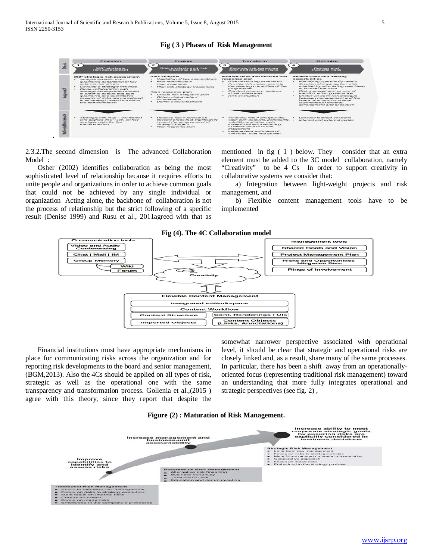#### **Fig ( 3 ) Phases of Risk Management**



2.3.2.The second dimension is The advanced Collaboration Model :

 Osher (2002) identifies collaboration as being the most sophisticated level of relationship because it requires efforts to unite people and organizations in order to achieve common goals that could not be achieved by any single individual or organization Acting alone, the backbone of collaboration is not the process of relationship but the strict following of a specific result (Denise 1999) and Rusu et al., 2011agreed with that as mentioned in fig ( 1 ) below. They consider that an extra element must be added to the 3C model collaboration, namely "Creativity" to be 4 Cs In order to support creativity in collaborative systems we consider that:

 a) Integration between light-weight projects and risk management, and

 b) Flexible content management tools have to be implemented



 Financial institutions must have appropriate mechanisms in place for communicating risks across the organization and for reporting risk developments to the board and senior management, (BGM,2013). Also the 4Cs should be applied on all types of risk, strategic as well as the operational one with the same transparency and transformation process. Gollenia et al.,(2015 ) agree with this theory, since they report that despite the somewhat narrower perspective associated with operational level, it should be clear that strategic and operational risks are closely linked and, as a result, share many of the same processes. In particular, there has been a shift away from an operationallyoriented focus (representing traditional risk management) toward an understanding that more fully integrates operational and strategic perspectives (see fig. 2) ,



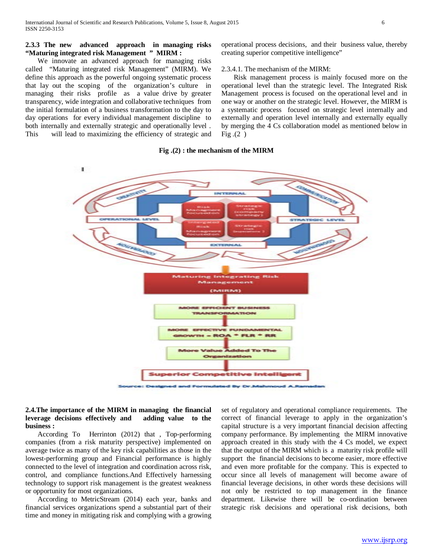# **2.3.3 The new advanced approach in managing risks "Maturing integrated risk Management " MIRM :**

 We innovate an advanced approach for managing risks called "Maturing integrated risk Management" (MIRM). We define this approach as the powerful ongoing systematic process that lay out the scoping of the organization's culture in managing their risks profile as a value drive by greater transparency, wide integration and collaborative techniques from the initial formulation of a business transformation to the day to day operations for every individual management discipline to both internally and externally strategic and operationally level . This will lead to maximizing the efficiency of strategic and operational process decisions, and their business value, thereby creating superior competitive intelligence"

#### 2.3.4.1. The mechanism of the MIRM:

 Risk management process is mainly focused more on the operational level than the strategic level. The Integrated Risk Management process is focused on the operational level and in one way or another on the strategic level. However, the MIRM is a systematic process focused on strategic level internally and externally and operation level internally and externally equally by merging the 4 Cs collaboration model as mentioned below in  $Fig.(2)$ 

# **Fig .(2) : the mechanism of the MIRM**



# **2.4.The importance of the MIRM in managing the financial leverage decisions effectively and adding value to the business :**

 According To Herrinton (2012) that , Top-performing companies (from a risk maturity perspective) implemented on average twice as many of the key risk capabilities as those in the lowest-performing group and Financial performance is highly connected to the level of integration and coordination across risk, control, and compliance functions.And Effectively harnessing technology to support risk management is the greatest weakness or opportunity for most organizations.

 According to MetricStream (2014) each year, banks and financial services organizations spend a substantial part of their time and money in mitigating risk and complying with a growing set of regulatory and operational compliance requirements. The correct of financial leverage to apply in the organization's capital structure is a very important financial decision affecting company performance. By implementing the MIRM innovative approach created in this study with the 4 Cs model, we expect that the output of the MIRM which is a maturity risk profile will support the financial decisions to become easier, more effective and even more profitable for the company. This is expected to occur since all levels of management will become aware of financial leverage decisions, in other words these decisions will not only be restricted to top management in the finance department. Likewise there will be co-ordination between strategic risk decisions and operational risk decisions, both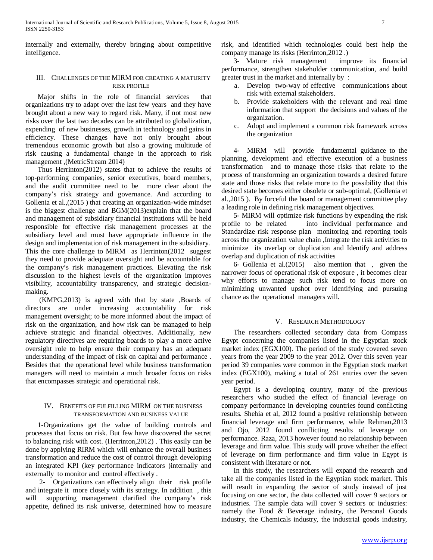internally and externally, thereby bringing about competitive intelligence.

# III. CHALLENGES OF THE MIRM FOR CREATING A MATURITY RISK PROFILE

 Major shifts in the role of financial services that organizations try to adapt over the last few years and they have brought about a new way to regard risk. Many, if not most new risks over the last two decades can be attributed to globalization, expending of new businesses, growth in technology and gains in efficiency. These changes have not only brought about tremendous economic growth but also a growing multitude of risk causing a fundamental change in the approach to risk management ,(MetricStream 2014)

 Thus Herrinton(2012) states that to achieve the results of top-performing companies, senior executives, board members, and the audit committee need to be more clear about the company's risk strategy and governance. And according to Gollenia et al.,(2015 ) that creating an organization-wide mindset is the biggest challenge and BGM(2013)explain that the board and management of subsidiary financial institutions will be held responsible for effective risk management processes at the subsidiary level and must have appropriate influence in the design and implementation of risk management in the subsidiary. This the core challenge to MIRM as Herrinton(2012 suggest they need to provide adequate oversight and be accountable for the company's risk management practices. Elevating the risk discussion to the highest levels of the organization improves visibility, accountability transparency, and strategic decisionmaking.

 (KMPG,2013) is agreed with that by state ,Boards of directors are under increasing accountability for risk management oversight; to be more informed about the impact of risk on the organization, and how risk can be managed to help achieve strategic and financial objectives. Additionally, new regulatory directives are requiring boards to play a more active oversight role to help ensure their company has an adequate understanding of the impact of risk on capital and performance . Besides that the operational level while business transformation managers will need to maintain a much broader focus on risks that encompasses strategic and operational risk.

# IV. BENEFITS OF FULFILLING MIRM ON THE BUSINESS TRANSFORMATION AND BUSINESS VALUE

 1-Organizations get the value of building controls and processes that focus on risk. But few have discovered the secret to balancing risk with cost. (Herrinton,2012) . This easily can be done by applying RIRM which will enhance the overall business transformation and reduce the cost of control through developing an integrated KPI (key performance indicators )internally and externally to monitor and control effectively .

 2- Organizations can effectively align their risk profile and integrate it more closely with its strategy. In addition , this will supporting management clarified the company's risk appetite, defined its risk universe, determined how to measure risk, and identified which technologies could best help the company manage its risks (Herrinton,2012 .)

 3- Mature risk management improve its financial performance, strengthen stakeholder communication, and build greater trust in the market and internally by :

- a. Develop two-way of effective communications about risk with external stakeholders.
- b. Provide stakeholders with the relevant and real time information that support the decisions and values of the organization.
- c. Adopt and implement a common risk framework across the organization

 4- MIRM will provide fundamental guidance to the planning, development and effective execution of a business transformation and to manage those risks that relate to the process of transforming an organization towards a desired future state and those risks that relate more to the possibility that this desired state becomes either obsolete or sub-optimal, (Gollenia et al.,2015 ). By forceful the board or management committee play a leading role in defining risk management objectives.

 5- MIRM will optimize risk functions by expending the risk profile to be related into individual performance and Standardize risk response plan monitoring and reporting tools across the organization value chain ,Integrate the risk activities to minimize its overlap or duplication and Identify and address overlap and duplication of risk activities

 6- Gollenia et al.(2015) also mention that , given the narrower focus of operational risk of exposure , it becomes clear why efforts to manage such risk tend to focus more on minimizing unwanted upshot over identifying and pursuing chance as the operational managers will.

# V. RESEARCH METHODOLOGY

 The researchers collected secondary data from Compass Egypt concerning the companies listed in the Egyptian stock market index (EGX100). The period of the study covered seven years from the year 2009 to the year 2012. Over this seven year period 39 companies were common in the Egyptian stock market index (EGX100), making a total of 261 entries over the seven year period.

 Egypt is a developing country, many of the previous researchers who studied the effect of financial leverage on company performance in developing countries found conflicting results. Shehia et al, 2012 found a positive relationship between financial leverage and firm performance, while Rehman,2013 and Ojo, 2012 found conflicting results of leverage on performance. Raza, 2013 however found no relationship between leverage and firm value. This study will prove whether the effect of leverage on firm performance and firm value in Egypt is consistent with literature or not.

 In this study, the researchers will expand the research and take all the companies listed in the Egyptian stock market. This will result in expanding the sector of study instead of just focusing on one sector, the data collected will cover 9 sectors or industries. The sample data will cover 9 sectors or industries: namely the Food & Beverage industry, the Personal Goods industry, the Chemicals industry, the industrial goods industry,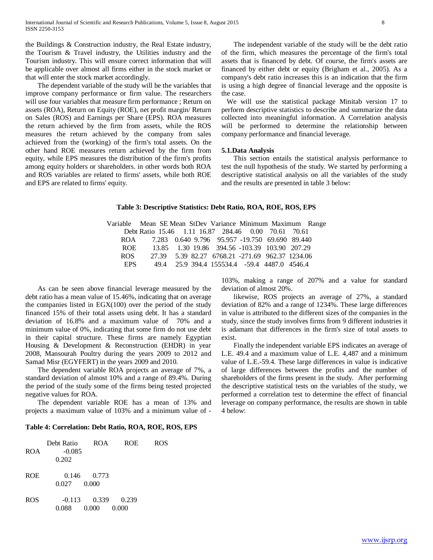the Buildings & Construction industry, the Real Estate industry, the Tourism & Travel industry, the Utilities industry and the Tourism industry. This will ensure correct information that will be applicable over almost all firms either in the stock market or that will enter the stock market accordingly.

 The dependent variable of the study will be the variables that improve company performance or firm value. The researchers will use four variables that measure firm performance ; Return on assets (ROA), Return on Equity (ROE), net profit margin/ Return on Sales (ROS) and Earnings per Share (EPS). ROA measures the return achieved by the firm from assets, while the ROS measures the return achieved by the company from sales achieved from the (working) of the firm's total assets. On the other hand ROE measures return achieved by the firm from equity, while EPS measures the distribution of the firm's profits among equity holders or shareholders. in other words both ROA and ROS variables are related to firms' assets, while both ROE and EPS are related to firms' equity.

 The independent variable of the study will be the debt ratio of the firm, which measures the percentage of the firm's total assets that is financed by debt. Of course, the firm's assets are financed by either debt or equity (Brigham et al., 2005). As a company's debt ratio increases this is an indication that the firm is using a high degree of financial leverage and the opposite is the case.

 We will use the statistical package Minitab version 17 to perform descriptive statistics to describe and summarize the data collected into meaningful information. A Correlation analysis will be performed to determine the relationship between company performance and financial leverage.

#### **5.1.Data Analysis**

 This section entails the statistical analysis performance to test the null hypothesis of the study. We started by performing a descriptive statistical analysis on all the variables of the study and the results are presented in table 3 below:

# **Table 3: Descriptive Statistics: Debt Ratio, ROA, ROE, ROS, EPS**

Variable Mean SE Mean StDev Variance Minimum Maximum Range Debt Ratio 15.46 1.11 16.87 284.46 0.00 70.61 70.61 ROA 7.283 0.640 9.796 95.957 -19.750 69.690 89.440 ROE 13.85 1.30 19.86 394.56 -103.39 103.90 207.29 ROS 27.39 5.39 82.27 6768.21 -271.69 962.37 1234.06 EPS 49.4 25.9 394.4 155534.4 -59.4 4487.0 4546.4

 As can be seen above financial leverage measured by the debt ratio has a mean value of 15.46%, indicating that on average the companies listed in EGX(100) over the period of the study financed 15% of their total assets using debt. It has a standard deviation of 16.8% and a maximum value of 70% and a minimum value of 0%, indicating that some firm do not use debt in their capital structure. These firms are namely Egyptian Housing & Development & Reconstruction (EHDR) in year 2008, Mansourah Poultry during the years 2009 to 2012 and Samad Misr (EGYFERT) in the years 2009 and 2010.

 The dependent variable ROA projects an average of 7%, a standard deviation of almost 10% and a range of 89.4%. During the period of the study some of the firms being tested projected negative values for ROA.

 The dependent variable ROE has a mean of 13% and projects a maximum value of 103% and a minimum value of -

#### **Table 4: Correlation: Debt Ratio, ROA, ROE, ROS, EPS**

| <b>ROA</b> | Debt Ratio<br>$-0.085$<br>0.202 | ROA.                     | ROE.           | ROS |
|------------|---------------------------------|--------------------------|----------------|-----|
| <b>ROE</b> | 0.027                           | $0.146$ $0.773$<br>0.000 |                |     |
| <b>ROS</b> | 0.088                           | $-0.113$ 0.339<br>0.000  | 0.239<br>0.000 |     |

103%, making a range of 207% and a value for standard deviation of almost 20%.

 likewise, ROS projects an average of 27%, a standard deviation of 82% and a range of 1234%. These large differences in value is attributed to the different sizes of the companies in the study, since the study involves firms from 9 different industries it is adamant that differences in the firm's size of total assets to exist.

 Finally the independent variable EPS indicates an average of L.E. 49.4 and a maximum value of L.E. 4,487 and a minimum value of L.E.-59.4. These large differences in value is indicative of large differences between the profits and the number of shareholders of the firms present in the study. After performing the descriptive statistical tests on the variables of the study, we performed a correlation test to determine the effect of financial leverage on company performance, the results are shown in table 4 below: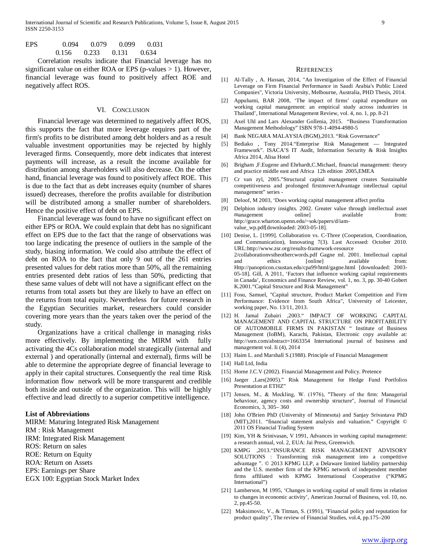- EPS 0.094 0.079 0.099 0.031 0.156 0.233 0.131 0.634
- Correlation results indicate that Financial leverage has no significant value on either ROA or EPS (p-values > 1). However, financial leverage was found to positively affect ROE and negatively affect ROS.

#### VI. CONCLUSION

 Financial leverage was determined to negatively affect ROS, this supports the fact that more leverage requires part of the firm's profits to be distributed among debt holders and as a result valuable investment opportunities may be rejected by highly leveraged firms. Consequently, more debt indicates that interest payments will increase, as a result the income available for distribution among shareholders will also decrease. On the other hand, financial leverage was found to positively affect ROE. This is due to the fact that as debt increases equity (number of shares issued) decreases, therefore the profits available for distribution will be distributed among a smaller number of shareholders. Hence the positive effect of debt on EPS.

 Financial leverage was found to have no significant effect on either EPS or ROA. We could explain that debt has no significant effect on EPS due to the fact that the range of observations was too large indicating the presence of outliers in the sample of the study, biasing information. We could also attribute the effect of debt on ROA to the fact that only 9 out of the 261 entries presented values for debt ratios more than 50%, all the remaining entries presented debt ratios of less than 50%, predicting that these same values of debt will not have a significant effect on the returns from total assets but they are likely to have an effect on the returns from total equity. Nevertheless for future research in the Egyptian Securities market, researchers could consider covering more years than the years taken over the period of the study.

 Organizations have a critical challenge in managing risks more effectively. By implementing the MIRM with fully activating the 4Cs collaboration model strategically (internal and external ) and operationally (internal and external), firms will be able to determine the appropriate degree of financial leverage to apply in their capital structures. Consequently the real time Risk information flow network will be more transparent and credible both inside and outside of the organization. This will be highly effective and lead directly to a superior competitive intelligence.

#### **List of Abbreviations**

MIRM: Maturing Integrated Risk Management RM : Risk Management IRM: Integrated Risk Management ROS: Return on sales ROE: Return on Equity ROA: Return on Assets EPS: Earnings per Share

EGX 100: Egyptian Stock Market Index

#### **REFERENCES**

- [1] Al-Tally , A. Hassan, 2014, "An Investigation of the Effect of Financial Leverage on Firm Financial Performance in Saudi Arabia's Public Listed Companies", Victoria University, Melbourne, Australia, PHD Thesis, 2014.
- [2] Appuhami, BAR 2008, 'The impact of firms' capital expenditure on working capital management: an empirical study across industries in Thailand', International Management Review, vol. 4, no. 1, pp. 8-21
- [3] Axel Uhl and Lars Alexander Gollenia, 2015. "Business Transformation Management Methodology" ISBN 978-1-4094-4980-5
- [4] Bank NEGARA MALAYSIA (BGM),2013. "Risk Governance"
- [5] Bediako , Tony 2014."Enterprise Risk Management Integrated Framework". ISACA'S IT Audit, Information Security & Risk Insights Africa 2014, Alisa Hotel
- [6] Brigham ,F.Eugene and Ehrhardt,C.Michael, financial management: theory and practice middle east and Africa 12h edition 2005,EMEA
- [7] Cr van zyl, 2005."Structural capital management creates Sustainable competitiveness and prolonged firstmoverAdvantage intellectual capital management" series -
- [8] Deloof, M 2003, 'Does working capital management affect profita
- [9] Delphion industry insights. 2002. Greater value through intellectual asset management online] available from: http://grace.wharton.upenn.edu/~sok/papers/d/iamvalue\_wp.pdf[downloaded: 2003-05-18].
- [10] Denise, L. [1999]. Collaboration vs. C-Three (Cooperation, Coordination, and Communication), Innovating 7(3). Last Accessed: October 2010. URL:http://www.zsr.org/results-framework-resource 2/collaborationvstheothercwords.pdf Gagne ml. 2001. Intellectual capital and ethics [online] available from: Http://panopticon.csustan.edu/cpa99/html/gagne.html [downloaded: 2003- 05-18]. Gill, A 2011, 'Factors that influence working capital requirements in Canada', Economics and Finance Review, vol. 1, no. 3, pp. 30-40 Gobert K.2001."Capital Structure and Risk Management"
- [11] Fosu, Samuel, "Capital structure, Product Market Competition and Firm Performance: Evidence from South Africa", University of Leicester, working paper, No. 13/11, 2013.
- [12] H. Jamal Zubairi ,2003." IMPACT OF WORKING CAPITAL MANAGEMENT AND CAPITAL STRUCTURE ON PROFITABILITY OF AUTOMOBILE FIRMS IN PAKISTAN " Institute of Business Management (IoBM), Karachi, Pakistan, Electronic copy available at: http://ssrn.com/abstract=1663354 International journal of business and management vol. Ii (4), 2014
- [13] Haim L. and Marshall S.(1988). Principle of Financial Management
- [14] Hall Ltd, India
- [15] Horne J.C.V (2002). Financial Management and Policy. Pretence
- [16] Jaeger ,Lars(2005)." Risk Management for Hedge Fund Portfolios Presentation at ETHZ"
- [17] Jensen, M., & Meckling, W. (1976), "Theory of the firm: Managerial behaviour, agency costs and ownership structure", Journal of Financial Economics, 3, 305– 360
- [18] John O'Brien PhD (University of Minnesota) and Sanjay Srivastava PhD (MIT),2011. "financial statement analysis and valuation." Copyright © 2011 OS Financial Trading System
- [19] Kim, YH & Srinivasan, V 1991, Advances in working capital management: a research annual, vol. 2, EUA: Jai Press, Greenwich.
- [20] KMPG ,2013."INSURANCE RISK MANAGEMENT ADVISORY SOLUTIONS : Transforming risk management into a competitive advantage ". © 2013 KPMG LLP, a Delaware limited liability partnership and the U.S. member firm of the KPMG network of independent member firms affiliated with KPMG International Cooperative ("KPMG International")
- [21] Lamberson, M 1995, 'Changes in working capital of small firms in relation to changes in economic activity', American Journal of Business, vol. 10, no. 2, pp.45-50.
- [22] Maksimovic, V., & Titman, S. (1991), "Financial policy and reputation for product quality", The review of Financial Studies, vol.4, pp.175–200